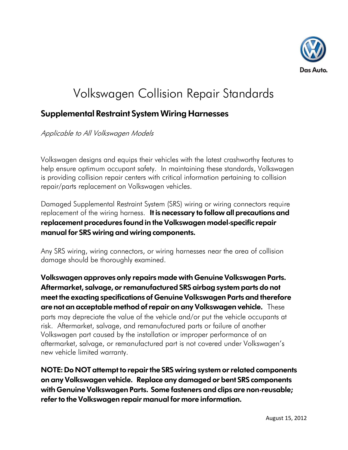

## Volkswagen Collision Repair Standards

## **Supplemental Restraint System Wiring Harnesses**

Applicable to All Volkswagen Models

Volkswagen designs and equips their vehicles with the latest crashworthy features to help ensure optimum occupant safety. In maintaining these standards, Volkswagen is providing collision repair centers with critical information pertaining to collision repair/parts replacement on Volkswagen vehicles.

Damaged Supplemental Restraint System (SRS) wiring or wiring connectors require replacement of the wiring harness. **It is necessary to follow all precautions and replacement procedures found in the Volkswagen model-specific repair manual for SRS wiring and wiring components.**

Any SRS wiring, wiring connectors, or wiring harnesses near the area of collision damage should be thoroughly examined.

**Volkswagen approves only repairs made with Genuine Volkswagen Parts. Aftermarket, salvage, or remanufactured SRS airbag system parts do not meet the exacting specifications of Genuine Volkswagen Parts and therefore are not an acceptable method of repair on any Volkswagen vehicle.** These parts may depreciate the value of the vehicle and/or put the vehicle occupants at risk. Aftermarket, salvage, and remanufactured parts or failure of another Volkswagen part caused by the installation or improper performance of an aftermarket, salvage, or remanufactured part is not covered under Volkswagen's new vehicle limited warranty.

**NOTE: Do NOT attempt to repair the SRS wiring system or related components on any Volkswagen vehicle. Replace any damaged or bent SRS components with Genuine Volkswagen Parts. Some fasteners and clips are non-reusable; refer to the Volkswagen repair manual for more information.**